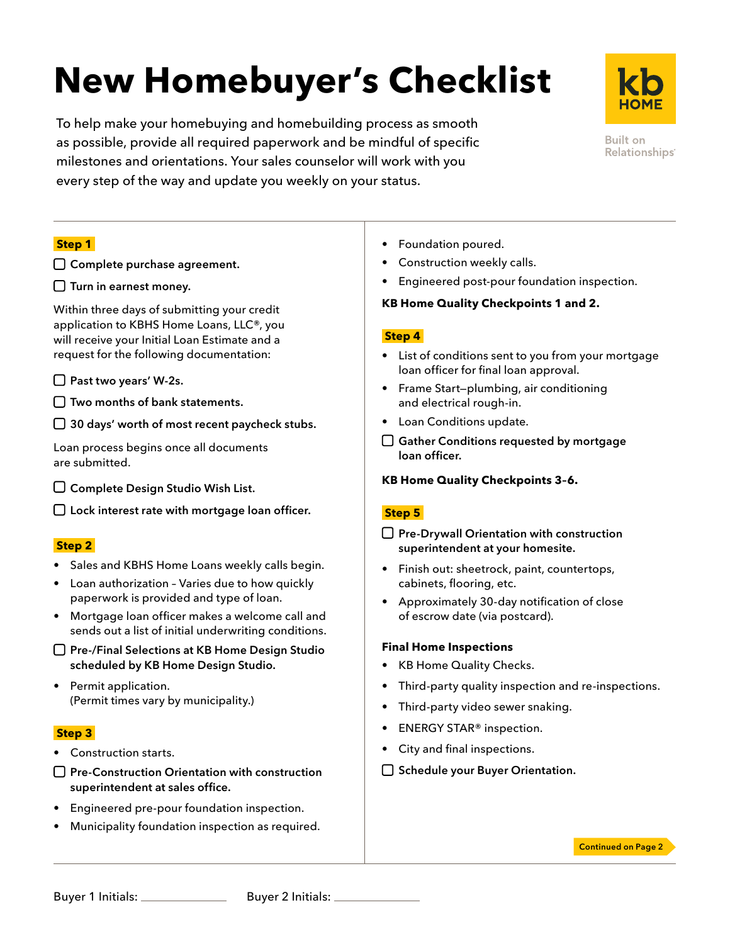# **New Homebuyer's Checklist**

To help make your homebuying and homebuilding process as smooth as possible, provide all required paperwork and be mindful of specific milestones and orientations. Your sales counselor will work with you every step of the way and update you weekly on your status.



Built on Relationships<sup>®</sup>

# **Step 1**

- □ Complete purchase agreement.
- $\square$  Turn in earnest money.

Within three days of submitting your credit application to KBHS Home Loans, LLC®, you will receive your Initial Loan Estimate and a request for the following documentation:

- □ Past two years' W-2s.
- $\Box$  Two months of bank statements.

 $\Box$  30 days' worth of most recent paycheck stubs.

Loan process begins once all documents are submitted.

 $\square$  Complete Design Studio Wish List.

 $\Box$  Lock interest rate with mortgage loan officer.

#### **Step 2**

- Sales and KBHS Home Loans weekly calls begin.
- Loan authorization Varies due to how quickly paperwork is provided and type of loan.
- Mortgage loan officer makes a welcome call and sends out a list of initial underwriting conditions.
- □ Pre-/Final Selections at KB Home Design Studio scheduled by KB Home Design Studio.
- Permit application. (Permit times vary by municipality.)

# **Step 3**

- Construction starts.
- $\Box$  Pre-Construction Orientation with construction superintendent at sales office.
- Engineered pre-pour foundation inspection.
- Municipality foundation inspection as required.
- Foundation poured.
- Construction weekly calls.
- Engineered post-pour foundation inspection.

## **KB Home Quality Checkpoints 1 and 2.**

## **Step 4**

- List of conditions sent to you from your mortgage loan officer for final loan approval.
- Frame Start—plumbing, air conditioning and electrical rough-in.
- Loan Conditions update.
- $\Box$  Gather Conditions requested by mortgage loan officer.

# **KB Home Quality Checkpoints 3–6.**

# **Step 5**

- $\Box$  Pre-Drywall Orientation with construction superintendent at your homesite.
- Finish out: sheetrock, paint, countertops, cabinets, flooring, etc.
- Approximately 30-day notification of close of escrow date (via postcard).

#### **Final Home Inspections**

- KB Home Quality Checks.
- Third-party quality inspection and re-inspections.
- Third-party video sewer snaking.
- ENERGY STAR® inspection.
- City and final inspections.
- $\Box$  Schedule your Buyer Orientation.